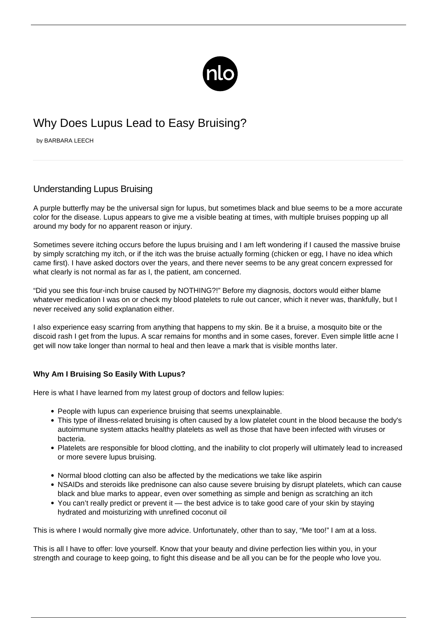

## Why Does Lupus Lead to Easy Bruising?

by BARBARA LEECH

## Understanding Lupus Bruising

A purple butterfly may be the universal sign for lupus, but sometimes black and blue seems to be a more accurate color for the disease. Lupus appears to give me a visible beating at times, with multiple bruises popping up all around my body for no apparent reason or injury.

Sometimes severe itching occurs before the lupus bruising and I am left wondering if I caused the massive bruise by simply scratching my itch, or if the itch was the bruise actually forming (chicken or egg, I have no idea which came first). I have asked doctors over the years, and there never seems to be any great concern expressed for what clearly is not normal as far as I, the patient, am concerned.

"Did you see this four-inch bruise caused by NOTHING?!" Before my diagnosis, doctors would either blame whatever medication I was on or check my blood platelets to rule out cancer, which it never was, thankfully, but I never received any solid explanation either.

I also experience easy scarring from anything that happens to my skin. Be it a bruise, a mosquito bite or the [discoid rash](/living-lupus-skin-rashes/) I get from the lupus. A scar remains for months and in some cases, forever. Even simple little acne I get will now take longer than normal to heal and then leave a mark that is visible months later.

## **Why Am I Bruising So Easily With Lupus?**

Here is what I have learned from my latest group of doctors and fellow lupies:

- People with lupus can experience bruising that seems unexplainable.
- This type of illness-related bruising is often caused by a low platelet count in the blood because the body's autoimmune system attacks healthy platelets as well as those that have been infected with viruses or bacteria.
- Platelets are responsible for blood clotting, and the inability to clot properly will ultimately lead to increased or more severe lupus bruising.
- Normal blood clotting can also be affected by the medications we take like aspirin
- NSAIDs and steroids like prednisone can also cause severe bruising by disrupt platelets, which can cause black and blue marks to appear, even over something as simple and benign as scratching an itch
- You can't really predict or prevent it the best advice is to take good care of your skin by staying hydrated and moisturizing with unrefined coconut oil

This is where I would normally give more advice. Unfortunately, other than to say, "Me too!" I am at a loss.

This is all I have to offer: love yourself. Know that your beauty and divine perfection lies within you, in your strength and courage to keep going, to fight this disease and be all you can be for the people who love you.